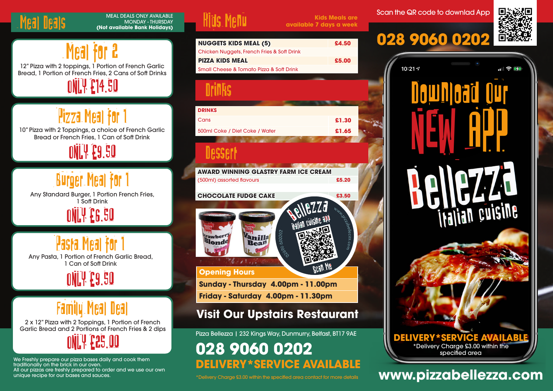## Meal Deals

#### MEAL DEALS ONLY AVAILABLE MONDAY - THURSDAY **(Not available Bank Holidays)**



Bread, 1 Portion of French Fries, 2 Cans of Soft Drinks

ONLY £14.50

# Pizza Meal for 1

10" Pizza with 2 Toppings, a choice of French Garlic Bread or French Fries, 1 Can of Soft Drink

ONLY £9.50

# Burger Meal for 1

ONLY £6.50 Any Standard Burger, 1 Portion French Fries, 1 Soft Drink

Any Pasta, 1 Portion of French Garlic Bread, 1 Can of Soft Drink Pasta Meal

ONLY £9.50

# Family Meal Deal

2 x 12" Pizza with 2 Toppings, 1 Portion of French Garlic Bread and 2 Portions of French Fries & 2 dips



We Freshly prepare our pizza bases daily and cook them traditionally on the brick in our oven. All our pizzas are freshly prepared to order and we use our own<br>unique recipe for our bases and sauces.



**Kids Meals are available 7 days a week**

**NUGGETS KIDS MEAL (5) £4.50** Chicken Nuggets, French Fries & Soft Drink **PIZZA KIDS MEAL £5.00** Small Cheese & Tomato Pizza & Soft Drink <u>Drinks</u> **DRINKS** Cans **£1.30** 500ml Coke / Diet Coke / Water **£1.65** Dessert **AWARD WINNING GLASTRY FARM ICE CREAM** (500ml) assorted flavours **£5.20 CHOCOLATE FUDGE CAKE £3.50** anilla  $\mathbf{land}^e$ Bean  $71.77$ **Opening Hours Sunday - Thursday 4.00pm - 11.00pm Friday - Saturday 4.00pm - 11.30pm Visit Our Upstairs Restaurant** Pizza Bellezza | 232 Kings Way, Dunmurry, Belfast, BT17 9AE **028 9060 0202** 

**DELIVERY\*SERVICE AVAILABLE**

Scan the QR code to downlad App

# **028 9060 0202**